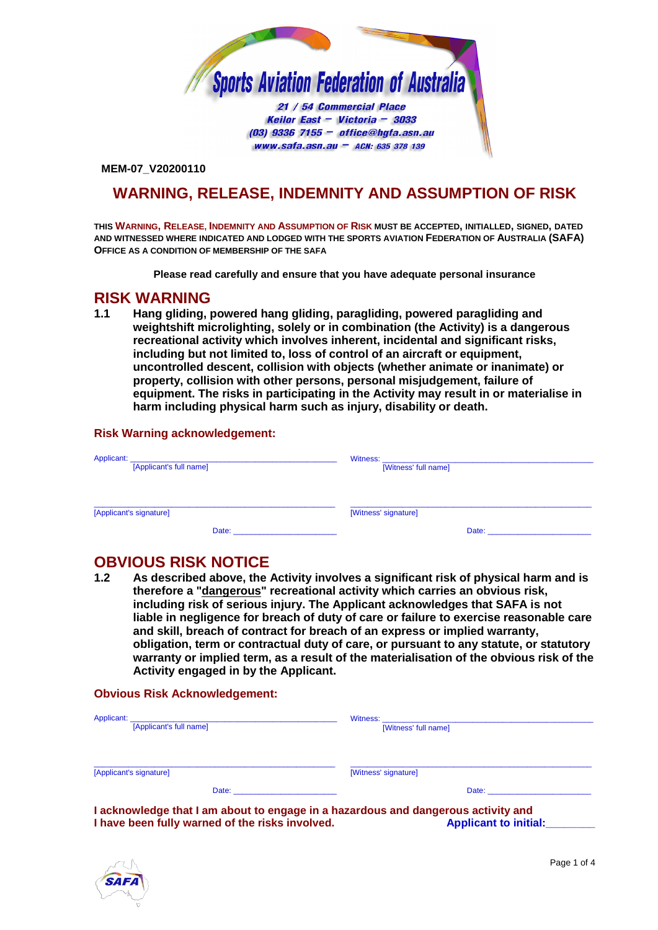

Keilor East - Victoria - 3033  $(03)$  9336 7155 - office@hgfa.asn.au  $www.safa.san.au - ACN: 635 378 139$ 

**MEM-07\_V20200110**

## **WARNING, RELEASE, INDEMNITY AND ASSUMPTION OF RISK**

**THIS WARNING, RELEASE, INDEMNITY AND ASSUMPTION OF RISK MUST BE ACCEPTED, INITIALLED, SIGNED, DATED AND WITNESSED WHERE INDICATED AND LODGED WITH THE SPORTS AVIATION FEDERATION OF AUSTRALIA (SAFA) OFFICE AS A CONDITION OF MEMBERSHIP OF THE SAFA**

**Please read carefully and ensure that you have adequate personal insurance** 

## **RISK WARNING**

<span id="page-0-0"></span>**1.1 Hang gliding, powered hang gliding, paragliding, powered paragliding and weightshift microlighting, solely or in combination (the Activity) is a dangerous recreational activity which involves inherent, incidental and significant risks, including but not limited to, loss of control of an aircraft or equipment, uncontrolled descent, collision with objects (whether animate or inanimate) or property, collision with other persons, personal misjudgement, failure of equipment. The risks in participating in the Activity may result in or materialise in harm including physical harm such as injury, disability or death.**

## **Risk Warning acknowledgement:**

| Applicant:<br><u> 1980 - Johann John Stoff, deutscher Stoffen und der Stoffen und der Stoffen und der Stoffen und der Stoffen</u><br>[Applicant's full name]                                                                   | [Witness' full name]                                                                                                                                                                                                           |
|--------------------------------------------------------------------------------------------------------------------------------------------------------------------------------------------------------------------------------|--------------------------------------------------------------------------------------------------------------------------------------------------------------------------------------------------------------------------------|
|                                                                                                                                                                                                                                |                                                                                                                                                                                                                                |
| [Applicant's signature]                                                                                                                                                                                                        | [Witness' signature]                                                                                                                                                                                                           |
| Date: the contract of the contract of the contract of the contract of the contract of the contract of the contract of the contract of the contract of the contract of the contract of the contract of the contract of the cont | Date: the contract of the contract of the contract of the contract of the contract of the contract of the contract of the contract of the contract of the contract of the contract of the contract of the contract of the cont |

# **OBVIOUS RISK NOTICE**<br>1.2 As described above, the

<span id="page-0-1"></span>**1.2 As described above, the Activity involves a significant risk of physical harm and is therefore a "dangerous" recreational activity which carries an obvious risk, including risk of serious injury. The Applicant acknowledges that SAFA is not liable in negligence for breach of duty of care or failure to exercise reasonable care and skill, breach of contract for breach of an express or implied warranty, obligation, term or contractual duty of care, or pursuant to any statute, or statutory warranty or implied term, as a result of the materialisation of the obvious risk of the Activity engaged in by the Applicant.**

## **Obvious Risk Acknowledgement:**

| [Applicant's full name]                                                                                                                                                                                                        | [Witness' full name]                                                                                                                                                                                                           |
|--------------------------------------------------------------------------------------------------------------------------------------------------------------------------------------------------------------------------------|--------------------------------------------------------------------------------------------------------------------------------------------------------------------------------------------------------------------------------|
| [Applicant's signature]                                                                                                                                                                                                        | [Witness' signature]                                                                                                                                                                                                           |
| Date: the contract of the contract of the contract of the contract of the contract of the contract of the contract of the contract of the contract of the contract of the contract of the contract of the contract of the cont | Date: the contract of the contract of the contract of the contract of the contract of the contract of the contract of the contract of the contract of the contract of the contract of the contract of the contract of the cont |

**I acknowledge that I am about to engage in a hazardous and dangerous activity and I have been fully warned of the risks involved.** 

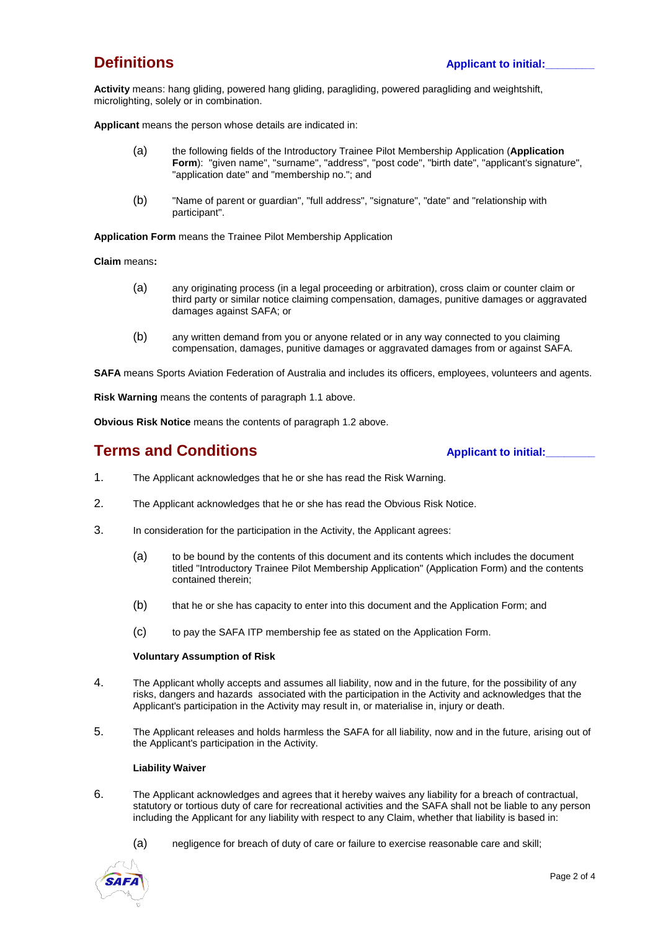**Activity** means: hang gliding, powered hang gliding, paragliding, powered paragliding and weightshift, microlighting, solely or in combination.

**Applicant** means the person whose details are indicated in:

- (a) the following fields of the Introductory Trainee Pilot Membership Application (**Application Form**): "given name", "surname", "address", "post code", "birth date", "applicant's signature", "application date" and "membership no."; and
- (b) "Name of parent or guardian", "full address", "signature", "date" and "relationship with participant".

**Application Form** means the Trainee Pilot Membership Application

**Claim** means**:**

- (a) any originating process (in a legal proceeding or arbitration), cross claim or counter claim or third party or similar notice claiming compensation, damages, punitive damages or aggravated damages against SAFA; or
- (b) any written demand from you or anyone related or in any way connected to you claiming compensation, damages, punitive damages or aggravated damages from or against SAFA.

**SAFA** means Sports Aviation Federation of Australia and includes its officers, employees, volunteers and agents.

**Risk Warning** means the contents of paragrap[h 1.1](#page-0-0) above.

**Obvious Risk Notice** means the contents of paragrap[h 1.2](#page-0-1) above.

## **Terms and Conditions** <br> **Applicant to initial:**

- 1. The Applicant acknowledges that he or she has read the Risk Warning.
- 2. The Applicant acknowledges that he or she has read the Obvious Risk Notice.
- 3. In consideration for the participation in the Activity, the Applicant agrees:
	- (a) to be bound by the contents of this document and its contents which includes the document titled "Introductory Trainee Pilot Membership Application" (Application Form) and the contents contained therein;
	- (b) that he or she has capacity to enter into this document and the Application Form; and
	- (c) to pay the SAFA ITP membership fee as stated on the Application Form.

#### **Voluntary Assumption of Risk**

- 4. The Applicant wholly accepts and assumes all liability, now and in the future, for the possibility of any risks, dangers and hazards associated with the participation in the Activity and acknowledges that the Applicant's participation in the Activity may result in, or materialise in, injury or death.
- 5. The Applicant releases and holds harmless the SAFA for all liability, now and in the future, arising out of the Applicant's participation in the Activity.

### **Liability Waiver**

- 6. The Applicant acknowledges and agrees that it hereby waives any liability for a breach of contractual, statutory or tortious duty of care for recreational activities and the SAFA shall not be liable to any person including the Applicant for any liability with respect to any Claim, whether that liability is based in:
	- (a) negligence for breach of duty of care or failure to exercise reasonable care and skill;

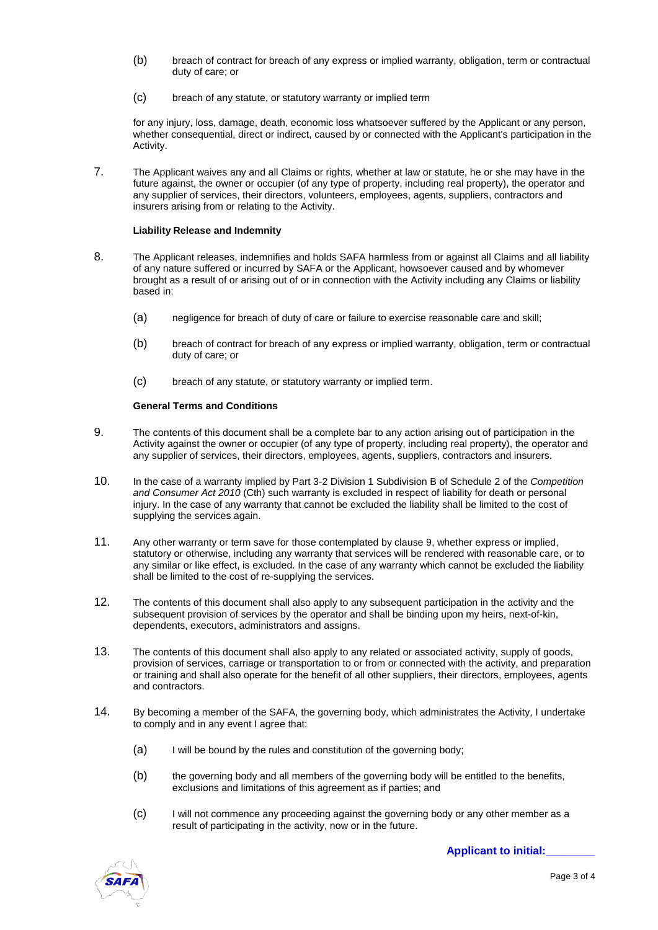- (b) breach of contract for breach of any express or implied warranty, obligation, term or contractual duty of care; or
- (c) breach of any statute, or statutory warranty or implied term

for any injury, loss, damage, death, economic loss whatsoever suffered by the Applicant or any person, whether consequential, direct or indirect, caused by or connected with the Applicant's participation in the Activity.

7. The Applicant waives any and all Claims or rights, whether at law or statute, he or she may have in the future against, the owner or occupier (of any type of property, including real property), the operator and any supplier of services, their directors, volunteers, employees, agents, suppliers, contractors and insurers arising from or relating to the Activity.

#### **Liability Release and Indemnity**

- 8. The Applicant releases, indemnifies and holds SAFA harmless from or against all Claims and all liability of any nature suffered or incurred by SAFA or the Applicant, howsoever caused and by whomever brought as a result of or arising out of or in connection with the Activity including any Claims or liability based in:
	- (a) negligence for breach of duty of care or failure to exercise reasonable care and skill;
	- (b) breach of contract for breach of any express or implied warranty, obligation, term or contractual duty of care; or
	- (c) breach of any statute, or statutory warranty or implied term.

#### **General Terms and Conditions**

- 9. The contents of this document shall be a complete bar to any action arising out of participation in the Activity against the owner or occupier (of any type of property, including real property), the operator and any supplier of services, their directors, employees, agents, suppliers, contractors and insurers.
- <span id="page-2-0"></span>10. In the case of a warranty implied by Part 3-2 Division 1 Subdivision B of Schedule 2 of the *Competition and Consumer Act 2010* (Cth) such warranty is excluded in respect of liability for death or personal injury. In the case of any warranty that cannot be excluded the liability shall be limited to the cost of supplying the services again.
- 11. Any other warranty or term save for those contemplated by claus[e 9,](#page-2-0) whether express or implied, statutory or otherwise, including any warranty that services will be rendered with reasonable care, or to any similar or like effect, is excluded. In the case of any warranty which cannot be excluded the liability shall be limited to the cost of re-supplying the services.
- 12. The contents of this document shall also apply to any subsequent participation in the activity and the subsequent provision of services by the operator and shall be binding upon my heirs, next-of-kin, dependents, executors, administrators and assigns.
- 13. The contents of this document shall also apply to any related or associated activity, supply of goods, provision of services, carriage or transportation to or from or connected with the activity, and preparation or training and shall also operate for the benefit of all other suppliers, their directors, employees, agents and contractors.
- 14. By becoming a member of the SAFA, the governing body, which administrates the Activity, I undertake to comply and in any event I agree that:
	- (a) I will be bound by the rules and constitution of the governing body;
	- (b) the governing body and all members of the governing body will be entitled to the benefits, exclusions and limitations of this agreement as if parties; and
	- (c) I will not commence any proceeding against the governing body or any other member as a result of participating in the activity, now or in the future.